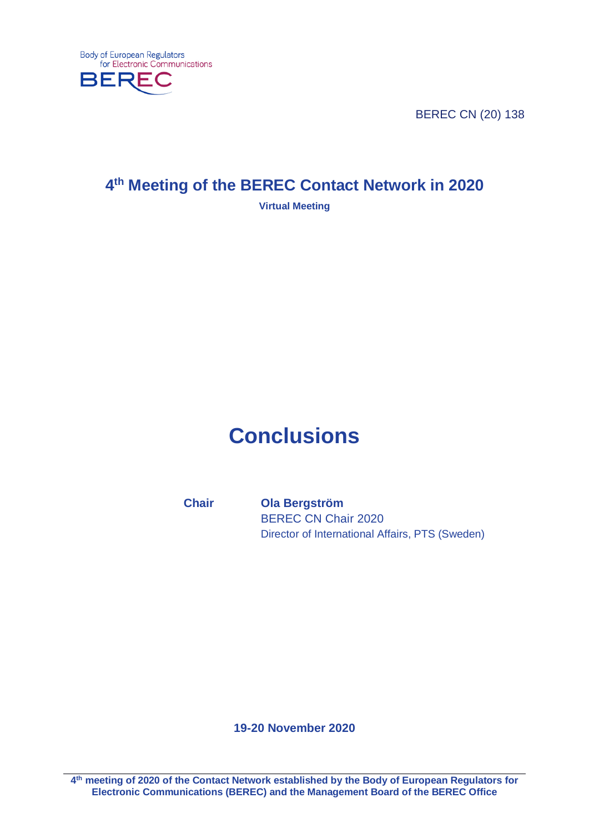

BEREC CN (20) 138

# **4th Meeting of the BEREC Contact Network in 2020**

**Virtual Meeting**

# **Conclusions**

**Chair Ola Bergström** BEREC CN Chair 2020 Director of International Affairs, PTS (Sweden)

**19-20 November 2020**

**4th meeting of 2020 of the Contact Network established by the Body of European Regulators for Electronic Communications (BEREC) and the Management Board of the BEREC Office**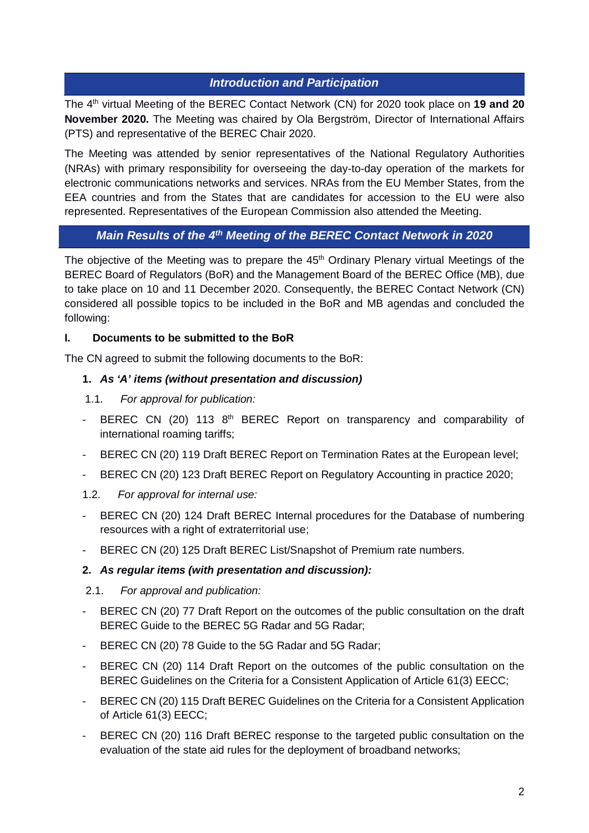### *Introduction and Participation*

The 4<sup>th</sup> virtual Meeting of the BEREC Contact Network (CN) for 2020 took place on 19 and 20 **November 2020.** The Meeting was chaired by Ola Bergström, Director of International Affairs (PTS) and representative of the BEREC Chair 2020.

The Meeting was attended by senior representatives of the National Regulatory Authorities (NRAs) with primary responsibility for overseeing the day-to-day operation of the markets for electronic communications networks and services. NRAs from the EU Member States, from the EEA countries and from the States that are candidates for accession to the EU were also represented. Representatives of the European Commission also attended the Meeting.

# *Main Results of the 4th Meeting of the BEREC Contact Network in 2020*

The objective of the Meeting was to prepare the 45<sup>th</sup> Ordinary Plenary virtual Meetings of the BEREC Board of Regulators (BoR) and the Management Board of the BEREC Office (MB), due to take place on 10 and 11 December 2020. Consequently, the BEREC Contact Network (CN) considered all possible topics to be included in the BoR and MB agendas and concluded the following:

#### **I. Documents to be submitted to the BoR**

The CN agreed to submit the following documents to the BoR:

#### **1.** *As 'A' items (without presentation and discussion)*

- 1.1. *For approval for publication:*
- BEREC CN (20) 113 8<sup>th</sup> BEREC Report on transparency and comparability of international roaming tariffs;
- BEREC CN (20) 119 Draft BEREC Report on Termination Rates at the European level;
- BEREC CN (20) 123 Draft BEREC Report on Regulatory Accounting in practice 2020;
- 1.2. *For approval for internal use:*
- BEREC CN (20) 124 Draft BEREC Internal procedures for the Database of numbering resources with a right of extraterritorial use:
- BEREC CN (20) 125 Draft BEREC List/Snapshot of Premium rate numbers.

#### **2.** *As regular items (with presentation and discussion):*

#### 2.1. *For approval and publication:*

- BEREC CN (20) 77 Draft Report on the outcomes of the public consultation on the draft BEREC Guide to the BEREC 5G Radar and 5G Radar;
- BEREC CN (20) 78 Guide to the 5G Radar and 5G Radar;
- BEREC CN (20) 114 Draft Report on the outcomes of the public consultation on the BEREC Guidelines on the Criteria for a Consistent Application of Article 61(3) EECC;
- BEREC CN (20) 115 Draft BEREC Guidelines on the Criteria for a Consistent Application of Article 61(3) EECC;
- BEREC CN (20) 116 Draft BEREC response to the targeted public consultation on the evaluation of the state aid rules for the deployment of broadband networks;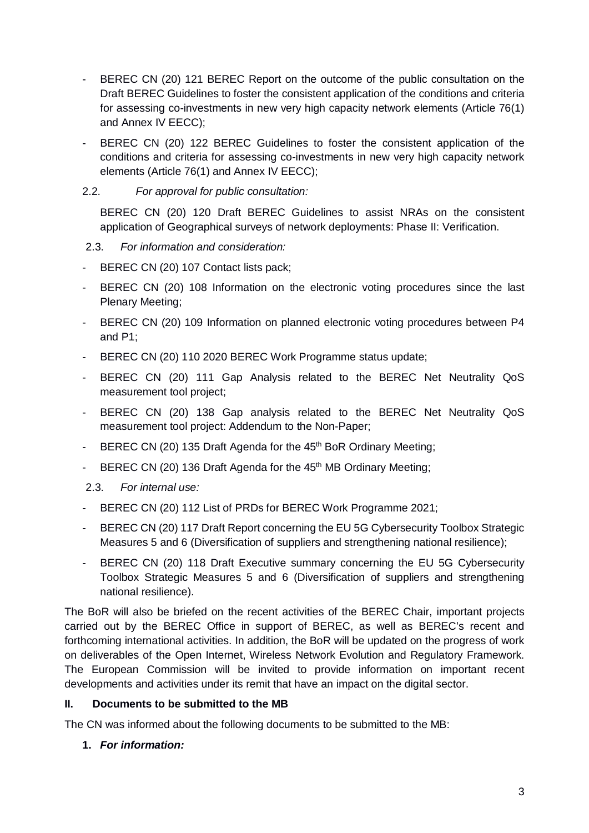- BEREC CN (20) 121 BEREC Report on the outcome of the public consultation on the Draft BEREC Guidelines to foster the consistent application of the conditions and criteria for assessing co-investments in new very high capacity network elements (Article 76(1) and Annex IV EECC);
- BEREC CN (20) 122 BEREC Guidelines to foster the consistent application of the conditions and criteria for assessing co-investments in new very high capacity network elements (Article 76(1) and Annex IV EECC);

#### 2.2. *For approval for public consultation:*

BEREC CN (20) 120 Draft BEREC Guidelines to assist NRAs on the consistent application of Geographical surveys of network deployments: Phase II: Verification.

#### 2.3. *For information and consideration:*

- BEREC CN (20) 107 Contact lists pack;
- BEREC CN (20) 108 Information on the electronic voting procedures since the last Plenary Meeting;
- BEREC CN (20) 109 Information on planned electronic voting procedures between P4 and P1;
- BEREC CN (20) 110 2020 BEREC Work Programme status update;
- BEREC CN (20) 111 Gap Analysis related to the BEREC Net Neutrality QoS measurement tool project;
- BEREC CN (20) 138 Gap analysis related to the BEREC Net Neutrality QoS measurement tool project: Addendum to the Non-Paper;
- BEREC CN (20) 135 Draft Agenda for the  $45<sup>th</sup>$  BoR Ordinary Meeting;
- BEREC CN (20) 136 Draft Agenda for the 45<sup>th</sup> MB Ordinary Meeting;

#### 2.3. *For internal use:*

- BEREC CN (20) 112 List of PRDs for BEREC Work Programme 2021;
- BEREC CN (20) 117 Draft Report concerning the EU 5G Cybersecurity Toolbox Strategic Measures 5 and 6 (Diversification of suppliers and strengthening national resilience);
- BEREC CN (20) 118 Draft Executive summary concerning the EU 5G Cybersecurity Toolbox Strategic Measures 5 and 6 (Diversification of suppliers and strengthening national resilience).

The BoR will also be briefed on the recent activities of the BEREC Chair, important projects carried out by the BEREC Office in support of BEREC, as well as BEREC's recent and forthcoming international activities. In addition, the BoR will be updated on the progress of work on deliverables of the Open Internet, Wireless Network Evolution and Regulatory Framework. The European Commission will be invited to provide information on important recent developments and activities under its remit that have an impact on the digital sector.

#### **II. Documents to be submitted to the MB**

The CN was informed about the following documents to be submitted to the MB:

#### **1.** *For information:*